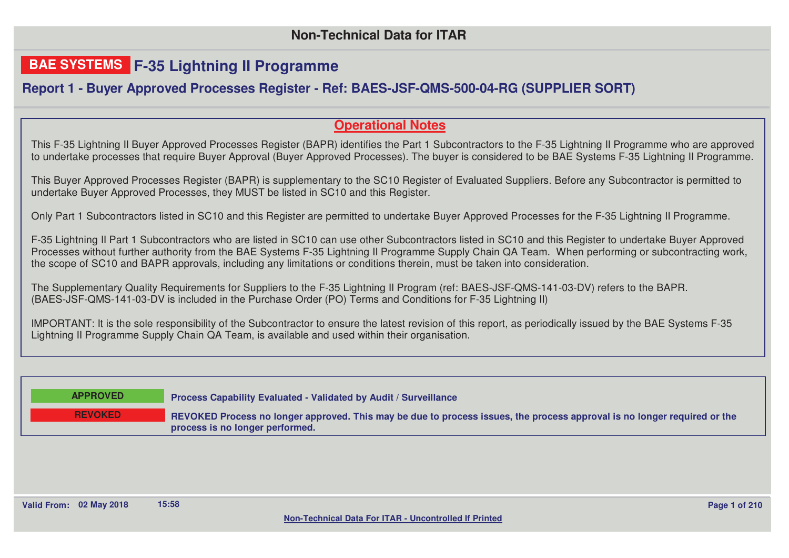## **BAE SYSTEMS F-35 Lightning II Programme**

## **Report 1 - Buyer Approved Processes Register - Ref: BAES-JSF-QMS-500-04-RG (SUPPLIER SORT)**

## **Operational Notes**

This F-35 Lightning II Buyer Approved Processes Register (BAPR) identifies the Part 1 Subcontractors to the F-35 Lightning II Programme who are approved to undertake processes that require Buyer Approval (Buyer Approved Processes). The buyer is considered to be BAE Systems F-35 Lightning II Programme.

This Buyer Approved Processes Register (BAPR) is supplementary to the SC10 Register of Evaluated Suppliers. Before any Subcontractor is permitted to undertake Buyer Approved Processes, they MUST be listed in SC10 and this Register.

Only Part 1 Subcontractors listed in SC10 and this Register are permitted to undertake Buyer Approved Processes for the F-35 Lightning II Programme.

F-35 Lightning II Part 1 Subcontractors who are listed in SC10 can use other Subcontractors listed in SC10 and this Register to undertake Buyer Approved Processes without further authority from the BAE Systems F-35 Lightning II Programme Supply Chain QA Team. When performing or subcontracting work, the scope of SC10 and BAPR approvals, including any limitations or conditions therein, must be taken into consideration.

The Supplementary Quality Requirements for Suppliers to the F-35 Lightning II Program (ref: BAES-JSF-QMS-141-03-DV) refers to the BAPR. (BAES-JSF-QMS-141-03-DV is included in the Purchase Order (PO) Terms and Conditions for F-35 Lightning II)

IMPORTANT: It is the sole responsibility of the Subcontractor to ensure the latest revision of this report, as periodically issued by the BAE Systems F-35 Lightning II Programme Supply Chain QA Team, is available and used within their organisation.

| <b>APPROVED</b> | <b>Process Capability Evaluated - Validated by Audit / Surveillance</b>                                                                                     |
|-----------------|-------------------------------------------------------------------------------------------------------------------------------------------------------------|
| <b>REVOKED</b>  | REVOKED Process no longer approved. This may be due to process issues, the process approval is no longer required or the<br>process is no longer performed. |